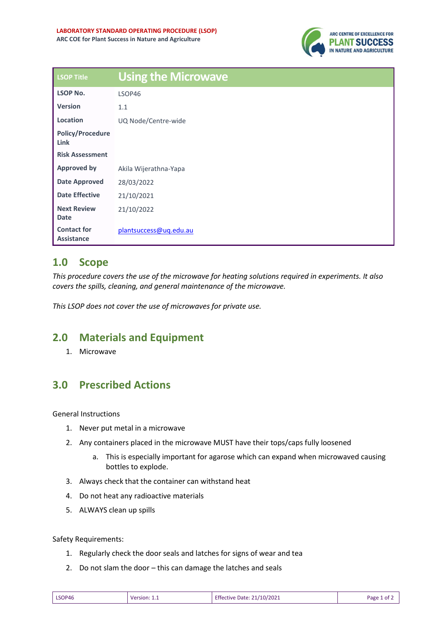

| <b>LSOP Title</b>                       | <b>Using the Microwave</b> |
|-----------------------------------------|----------------------------|
| <b>LSOP No.</b>                         | LSOP46                     |
| <b>Version</b>                          | 1.1                        |
| Location                                | UQ Node/Centre-wide        |
| <b>Policy/Procedure</b><br>Link         |                            |
| <b>Risk Assessment</b>                  |                            |
| <b>Approved by</b>                      | Akila Wijerathna-Yapa      |
| <b>Date Approved</b>                    | 28/03/2022                 |
| <b>Date Effective</b>                   | 21/10/2021                 |
| <b>Next Review</b><br><b>Date</b>       | 21/10/2022                 |
| <b>Contact for</b><br><b>Assistance</b> | plantsuccess@uq.edu.au     |

### **1.0 Scope**

*This procedure covers the use of the microwave for heating solutions required in experiments. It also covers the spills, cleaning, and general maintenance of the microwave.* 

*This LSOP does not cover the use of microwaves for private use.* 

#### **2.0 Materials and Equipment**

1. Microwave

# **3.0 Prescribed Actions**

General Instructions

- 1. Never put metal in a microwave
- 2. Any containers placed in the microwave MUST have their tops/caps fully loosened
	- a. This is especially important for agarose which can expand when microwaved causing bottles to explode.
- 3. Always check that the container can withstand heat
- 4. Do not heat any radioactive materials
- 5. ALWAYS clean up spills

#### Safety Requirements:

- 1. Regularly check the door seals and latches for signs of wear and tea
- 2. Do not slam the door this can damage the latches and seals

| LSOP46 | <b>Version: 1.</b> $\perp$ | <b>Effective Date: 21/10/2021</b> | Page 1 of $z$ |
|--------|----------------------------|-----------------------------------|---------------|
|--------|----------------------------|-----------------------------------|---------------|